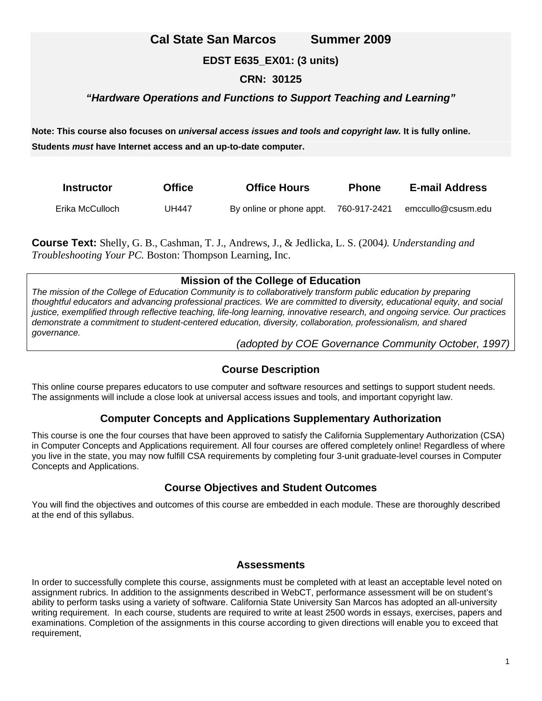## **Cal State San Marcos Summer 2009**

## **EDST E635\_EX01: (3 units)**

#### **CRN: 30125**

## *"Hardware Operations and Functions to Support Teaching and Learning"*

**Note: This course also focuses on** *universal access issues and tools and copyright law.* **It is fully online. Students** *must* **have Internet access and an up-to-date computer.** 

| <b>Instructor</b> | <b>Office</b> | <b>Office Hours</b>      | <b>Phone</b> | <b>E-mail Address</b> |
|-------------------|---------------|--------------------------|--------------|-----------------------|
| Erika McCulloch_  | <b>UH447</b>  | By online or phone appt. | 760-917-2421 | emccullo@csusm.edu    |

**Course Text:** Shelly, G. B., Cashman, T. J., Andrews, J., & Jedlicka, L. S. (2004*). Understanding and Troubleshooting Your PC.* Boston: Thompson Learning, Inc.

#### **Mission of the College of Education**

*The mission of the College of Education Community is to collaboratively transform public education by preparing thoughtful educators and advancing professional practices. We are committed to diversity, educational equity, and social justice, exemplified through reflective teaching, life-long learning, innovative research, and ongoing service. Our practices demonstrate a commitment to student-centered education, diversity, collaboration, professionalism, and shared governance.* 

*(adopted by COE Governance Community October, 1997)* 

## **Course Description**

This online course prepares educators to use computer and software resources and settings to support student needs. The assignments will include a close look at universal access issues and tools, and important copyright law.

## **Computer Concepts and Applications Supplementary Authorization**

This course is one the four courses that have been approved to satisfy the California Supplementary Authorization (CSA) in Computer Concepts and Applications requirement. All four courses are offered completely online! Regardless of where you live in the state, you may now fulfill CSA requirements by completing four 3-unit graduate-level courses in Computer Concepts and Applications.

## **Course Objectives and Student Outcomes**

You will find the objectives and outcomes of this course are embedded in each module. These are thoroughly described at the end of this syllabus.

#### **Assessments**

In order to successfully complete this course, assignments must be completed with at least an acceptable level noted on assignment rubrics. In addition to the assignments described in WebCT, performance assessment will be on student's ability to perform tasks using a variety of software. California State University San Marcos has adopted an all-university writing requirement. In each course, students are required to write at least 2500 words in essays, exercises, papers and examinations. Completion of the assignments in this course according to given directions will enable you to exceed that requirement,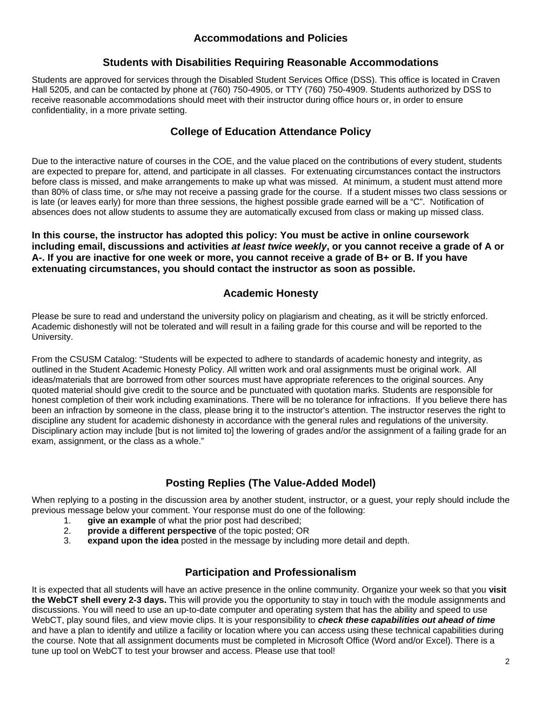## **Accommodations and Policies**

#### **Students with Disabilities Requiring Reasonable Accommodations**

Students are approved for services through the Disabled Student Services Office (DSS). This office is located in Craven Hall 5205, and can be contacted by phone at (760) 750-4905, or TTY (760) 750-4909. Students authorized by DSS to receive reasonable accommodations should meet with their instructor during office hours or, in order to ensure confidentiality, in a more private setting.

## **College of Education Attendance Policy**

Due to the interactive nature of courses in the COE, and the value placed on the contributions of every student, students are expected to prepare for, attend, and participate in all classes. For extenuating circumstances contact the instructors before class is missed, and make arrangements to make up what was missed. At minimum, a student must attend more than 80% of class time, or s/he may not receive a passing grade for the course. If a student misses two class sessions or is late (or leaves early) for more than three sessions, the highest possible grade earned will be a "C". Notification of absences does not allow students to assume they are automatically excused from class or making up missed class.

**In this course, the instructor has adopted this policy: You must be active in online coursework including email, discussions and activities** *at least twice weekly***, or you cannot receive a grade of A or A-. If you are inactive for one week or more, you cannot receive a grade of B+ or B. If you have extenuating circumstances, you should contact the instructor as soon as possible.** 

#### **Academic Honesty**

Please be sure to read and understand the university policy on plagiarism and cheating, as it will be strictly enforced. Academic dishonestly will not be tolerated and will result in a failing grade for this course and will be reported to the University.

From the CSUSM Catalog: "Students will be expected to adhere to standards of academic honesty and integrity, as outlined in the Student Academic Honesty Policy. All written work and oral assignments must be original work. All ideas/materials that are borrowed from other sources must have appropriate references to the original sources. Any quoted material should give credit to the source and be punctuated with quotation marks. Students are responsible for honest completion of their work including examinations. There will be no tolerance for infractions. If you believe there has been an infraction by someone in the class, please bring it to the instructor's attention. The instructor reserves the right to discipline any student for academic dishonesty in accordance with the general rules and regulations of the university. Disciplinary action may include [but is not limited to] the lowering of grades and/or the assignment of a failing grade for an exam, assignment, or the class as a whole."

## **Posting Replies (The Value-Added Model)**

When replying to a posting in the discussion area by another student, instructor, or a guest, your reply should include the previous message below your comment. Your response must do one of the following:

- 1. **give an example** of what the prior post had described;
- 2. **provide a different perspective** of the topic posted; OR
- 3. **expand upon the idea** posted in the message by including more detail and depth.

## **Participation and Professionalism**

It is expected that all students will have an active presence in the online community. Organize your week so that you **visit the WebCT shell every 2-3 days.** This will provide you the opportunity to stay in touch with the module assignments and discussions. You will need to use an up-to-date computer and operating system that has the ability and speed to use WebCT, play sound files, and view movie clips. It is your responsibility to *check these capabilities out ahead of time*  and have a plan to identify and utilize a facility or location where you can access using these technical capabilities during the course. Note that all assignment documents must be completed in Microsoft Office (Word and/or Excel). There is a tune up tool on WebCT to test your browser and access. Please use that tool!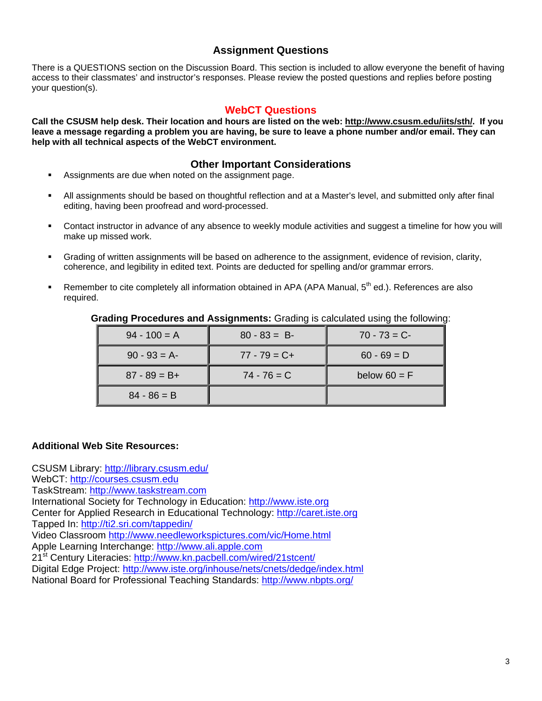## **Assignment Questions**

There is a QUESTIONS section on the Discussion Board. This section is included to allow everyone the benefit of having access to their classmates' and instructor's responses. Please review the posted questions and replies before posting your question(s).

### **WebCT Questions**

**Call the CSUSM help desk. Their location and hours are listed on the web: http://www.csusm.edu/iits/sth/. If you leave a message regarding a problem you are having, be sure to leave a phone number and/or email. They can help with all technical aspects of the WebCT environment.** 

#### **Other Important Considerations**

- Assignments are due when noted on the assignment page.
- All assignments should be based on thoughtful reflection and at a Master's level, and submitted only after final editing, having been proofread and word-processed.
- Contact instructor in advance of any absence to weekly module activities and suggest a timeline for how you will make up missed work.
- Grading of written assignments will be based on adherence to the assignment, evidence of revision, clarity, coherence, and legibility in edited text. Points are deducted for spelling and/or grammar errors.
- Remember to cite completely all information obtained in APA (APA Manual, 5<sup>th</sup> ed.). References are also required.

| $94 - 100 = A$  | $80 - 83 = B$   | $70 - 73 = C$  |
|-----------------|-----------------|----------------|
| $90 - 93 = A$   | $77 - 79 = C +$ | $60 - 69 = D$  |
| $87 - 89 = B +$ | $74 - 76 = C$   | below $60 = F$ |
| $84 - 86 = B$   |                 |                |

**Grading Procedures and Assignments:** Grading is calculated using the following:

#### **Additional Web Site Resources:**

CSUSM Library: http://library.csusm.edu/ WebCT: http://courses.csusm.edu TaskStream: http://www.taskstream.com International Society for Technology in Education: http://www.iste.org Center for Applied Research in Educational Technology: http://caret.iste.org Tapped In: http://ti2.sri.com/tappedin/ Video Classroom http://www.needleworkspictures.com/vic/Home.html Apple Learning Interchange: http://www.ali.apple.com 21st Century Literacies: http://www.kn.pacbell.com/wired/21stcent/ Digital Edge Project: http://www.iste.org/inhouse/nets/cnets/dedge/index.html National Board for Professional Teaching Standards: http://www.nbpts.org/